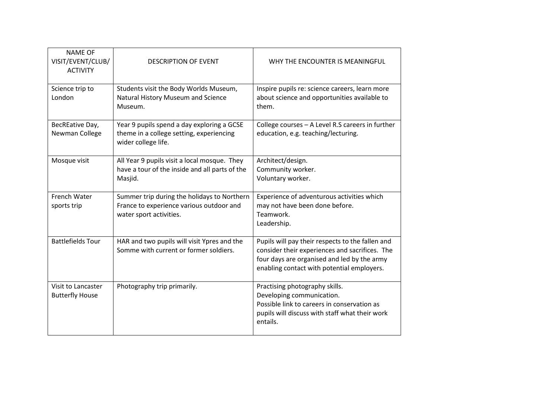| <b>NAME OF</b><br>VISIT/EVENT/CLUB/<br><b>ACTIVITY</b> | <b>DESCRIPTION OF EVENT</b>                                                                                        | WHY THE ENCOUNTER IS MEANINGFUL                                                                                                                                                                 |
|--------------------------------------------------------|--------------------------------------------------------------------------------------------------------------------|-------------------------------------------------------------------------------------------------------------------------------------------------------------------------------------------------|
| Science trip to<br>London                              | Students visit the Body Worlds Museum,<br>Natural History Museum and Science<br>Museum.                            | Inspire pupils re: science careers, learn more<br>about science and opportunities available to<br>them.                                                                                         |
| BecREative Day,<br>Newman College                      | Year 9 pupils spend a day exploring a GCSE<br>theme in a college setting, experiencing<br>wider college life.      | College courses - A Level R.S careers in further<br>education, e.g. teaching/lecturing.                                                                                                         |
| Mosque visit                                           | All Year 9 pupils visit a local mosque. They<br>have a tour of the inside and all parts of the<br>Masjid.          | Architect/design.<br>Community worker.<br>Voluntary worker.                                                                                                                                     |
| French Water<br>sports trip                            | Summer trip during the holidays to Northern<br>France to experience various outdoor and<br>water sport activities. | Experience of adventurous activities which<br>may not have been done before.<br>Teamwork.<br>Leadership.                                                                                        |
| <b>Battlefields Tour</b>                               | HAR and two pupils will visit Ypres and the<br>Somme with current or former soldiers.                              | Pupils will pay their respects to the fallen and<br>consider their experiences and sacrifices. The<br>four days are organised and led by the army<br>enabling contact with potential employers. |
| Visit to Lancaster<br><b>Butterfly House</b>           | Photography trip primarily.                                                                                        | Practising photography skills.<br>Developing communication.<br>Possible link to careers in conservation as<br>pupils will discuss with staff what their work<br>entails.                        |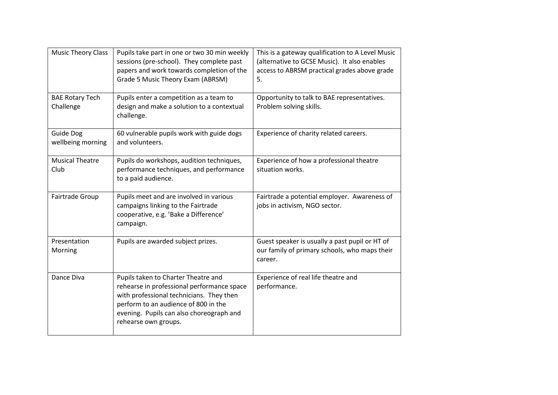| <b>Music Theory Class</b>             | Pupils take part in one or two 30 min weekly<br>sessions (pre-school). They complete past<br>papers and work towards completion of the<br>Grade 5 Music Theory Exam (ABRSM)                                                               | This is a gateway qualification to A Level Music<br>(alternative to GCSE Music). It also enables<br>access to ABRSM practical grades above grade<br>5. |
|---------------------------------------|-------------------------------------------------------------------------------------------------------------------------------------------------------------------------------------------------------------------------------------------|--------------------------------------------------------------------------------------------------------------------------------------------------------|
| <b>BAE Rotary Tech</b><br>Challenge   | Pupils enter a competition as a team to<br>design and make a solution to a contextual<br>challenge.                                                                                                                                       | Opportunity to talk to BAE representatives.<br>Problem solving skills.                                                                                 |
| <b>Guide Dog</b><br>wellbeing morning | 60 vulnerable pupils work with guide dogs<br>and volunteers.                                                                                                                                                                              | Experience of charity related careers.                                                                                                                 |
| <b>Musical Theatre</b><br>Club        | Pupils do workshops, audition techniques,<br>performance techniques, and performance<br>to a paid audience.                                                                                                                               | Experience of how a professional theatre<br>situation works.                                                                                           |
| Fairtrade Group                       | Pupils meet and are involved in various<br>campaigns linking to the Fairtrade<br>cooperative, e.g. 'Bake a Difference'<br>campaign.                                                                                                       | Fairtrade a potential employer. Awareness of<br>jobs in activism, NGO sector.                                                                          |
| Presentation<br>Morning               | Pupils are awarded subject prizes.                                                                                                                                                                                                        | Guest speaker is usually a past pupil or HT of<br>our family of primary schools, who maps their<br>career.                                             |
| Dance Diva                            | Pupils taken to Charter Theatre and<br>rehearse in professional performance space<br>with professional technicians. They then<br>perform to an audience of 800 in the<br>evening. Pupils can also choreograph and<br>rehearse own groups. | Experience of real life theatre and<br>performance.                                                                                                    |